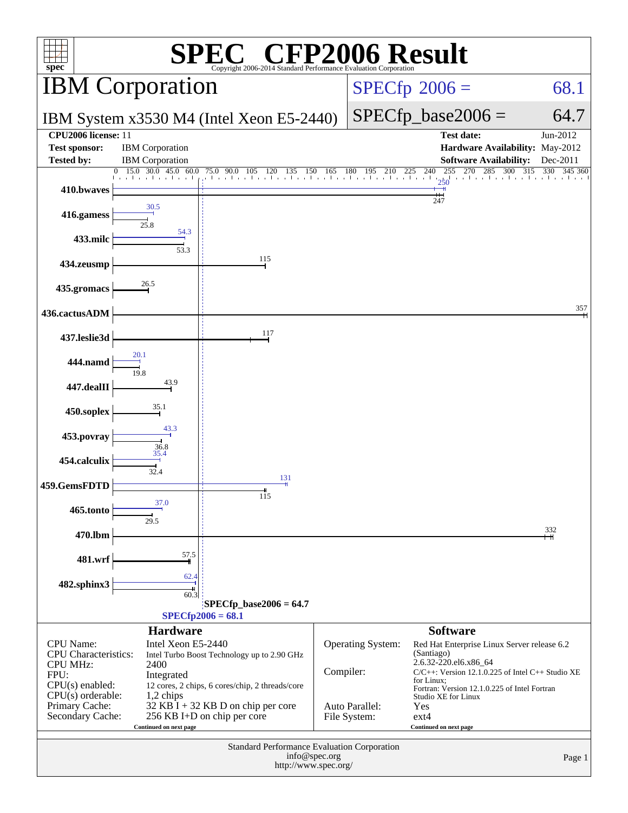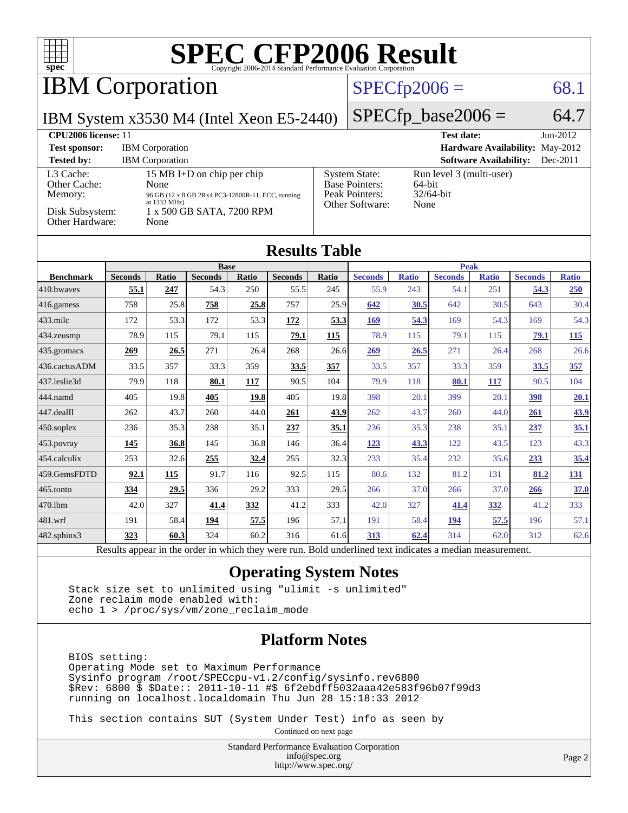

## IBM Corporation

#### $SPECfp2006 = 68.1$  $SPECfp2006 = 68.1$

IBM System x3530 M4 (Intel Xeon E5-2440)

 $SPECfp\_base2006 = 64.7$ 

| CPU <sub>2006</sub> license: 11                                            |                                                                                                                                                         |                                                                                    | <b>Test date:</b><br>$Jun-2012$                            |
|----------------------------------------------------------------------------|---------------------------------------------------------------------------------------------------------------------------------------------------------|------------------------------------------------------------------------------------|------------------------------------------------------------|
| <b>Test sponsor:</b>                                                       | <b>IBM</b> Corporation                                                                                                                                  |                                                                                    | <b>Hardware Availability: May-2012</b>                     |
| <b>Tested by:</b>                                                          | <b>IBM</b> Corporation                                                                                                                                  |                                                                                    | <b>Software Availability:</b><br>$Dec-2011$                |
| L3 Cache:<br>Other Cache:<br>Memory:<br>Disk Subsystem:<br>Other Hardware: | 15 MB I+D on chip per chip<br>None<br>96 GB (12 x 8 GB 2Rx4 PC3-12800R-11, ECC, running<br>at $1333 \text{ MHz}$ )<br>1 x 500 GB SATA, 7200 RPM<br>None | <b>System State:</b><br><b>Base Pointers:</b><br>Peak Pointers:<br>Other Software: | Run level 3 (multi-user)<br>64-bit<br>$32/64$ -bit<br>None |

#### **[Results Table](http://www.spec.org/auto/cpu2006/Docs/result-fields.html#ResultsTable)**

|                          | <b>Base</b>    |       |                |       | <b>Peak</b>    |               |                |              |                |              |                |              |
|--------------------------|----------------|-------|----------------|-------|----------------|---------------|----------------|--------------|----------------|--------------|----------------|--------------|
| <b>Benchmark</b>         | <b>Seconds</b> | Ratio | <b>Seconds</b> | Ratio | <b>Seconds</b> | Ratio         | <b>Seconds</b> | <b>Ratio</b> | <b>Seconds</b> | <b>Ratio</b> | <b>Seconds</b> | <b>Ratio</b> |
| 410.bwayes               | 55.1           | 247   | 54.3           | 250   | 55.5           | 245           | 55.9           | 243          | 54.1           | 251          | 54.3           | 250          |
| $416$ .gamess            | 758            | 25.8  | 758            | 25.8  | 757            | 25.9          | 642            | 30.5         | 642            | 30.5         | 643            | 30.4         |
| $433$ .milc              | 172            | 53.3  | 172            | 53.3  | <u>172</u>     | 53.3          | <u>169</u>     | 54.3         | 169            | 54.3         | 169            | 54.3         |
| 434.zeusmp               | 78.9           | 115   | 79.1           | 115   | 79.1           | <b>115</b>    | 78.9           | 115          | 79.1           | 115          | <u>79.1</u>    | 115          |
| 435.gromacs              | 269            | 26.5  | 271            | 26.4  | 268            | 26.6          | 269            | 26.5         | 271            | 26.4         | 268            | 26.6         |
| 436.cactusADM            | 33.5           | 357   | 33.3           | 359   | 33.5           | 357           | 33.5           | 357          | 33.3           | 359          | 33.5           | 357          |
| 437.leslie3d             | 79.9           | 118   | 80.1           | 117   | 90.5           | 104           | 79.9           | 118          | 80.1           | 117          | 90.5           | 104          |
| 444.namd                 | 405            | 19.8  | 405            | 19.8  | 405            | 19.8          | 398            | 20.1         | 399            | 20.1         | <u>398</u>     | 20.1         |
| $ 447 \text{.}$ dealII   | 262            | 43.7  | 260            | 44.0  | 261            | 43.9          | 262            | 43.7         | 260            | 44.0         | <b>261</b>     | 43.9         |
| 450.soplex               | 236            | 35.3  | 238            | 35.1  | 237            | 35.1          | 236            | 35.3         | 238            | 35.1         | 237            | 35.1         |
| 453.povray               | 145            | 36.8  | 145            | 36.8  | 146            | 36.4          | 123            | 43.3         | 122            | 43.5         | 123            | 43.3         |
| 454.calculix             | 253            | 32.6  | 255            | 32.4  | 255            | 32.3          | 233            | 35.4         | 232            | 35.6         | 233            | 35.4         |
| 459.GemsFDTD             | 92.1           | 115   | 91.7           | 116   | 92.5           | 115           | 80.6           | 132          | 81.2           | 131          | 81.2           | <u>131</u>   |
| $465$ .tonto             | 334            | 29.5  | 336            | 29.2  | 333            | 29.5          | 266            | 37.0         | 266            | 37.0         | 266            | 37.0         |
| 470.lbm                  | 42.0           | 327   | 41.4           | 332   | 41.2           | 333           | 42.0           | 327          | 41.4           | 332          | 41.2           | 333          |
| $ 481$ .wrf              | 191            | 58.4  | 194            | 57.5  | 196            | 57.1          | 191            | 58.4         | <u>194</u>     | 57.5         | 196            | 57.1         |
| 482.sphinx3              | 323            | 60.3  | 324            | 60.2  | 316            | 61.6          | <u>313</u>     | 62.4         | 314            | 62.0         | 312            | 62.6         |
| $\overline{\phantom{a}}$ |                |       |                | .     |                | $\sim$ $\sim$ | $\sim$         | $\cdots$     |                |              |                |              |

Results appear in the [order in which they were run.](http://www.spec.org/auto/cpu2006/Docs/result-fields.html#RunOrder) Bold underlined text [indicates a median measurement.](http://www.spec.org/auto/cpu2006/Docs/result-fields.html#Median)

#### **[Operating System Notes](http://www.spec.org/auto/cpu2006/Docs/result-fields.html#OperatingSystemNotes)**

 Stack size set to unlimited using "ulimit -s unlimited" Zone reclaim mode enabled with: echo 1 > /proc/sys/vm/zone\_reclaim\_mode

#### **[Platform Notes](http://www.spec.org/auto/cpu2006/Docs/result-fields.html#PlatformNotes)**

 BIOS setting: Operating Mode set to Maximum Performance Sysinfo program /root/SPECcpu-v1.2/config/sysinfo.rev6800 \$Rev: 6800 \$ \$Date:: 2011-10-11 #\$ 6f2ebdff5032aaa42e583f96b07f99d3 running on localhost.localdomain Thu Jun 28 15:18:33 2012

This section contains SUT (System Under Test) info as seen by

Continued on next page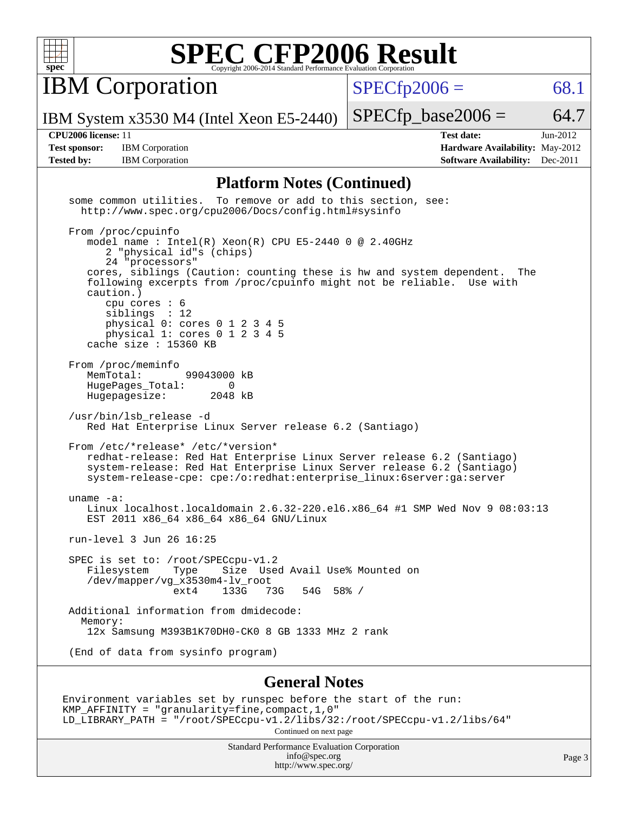

**IBM Corporation** 

 $SPECfp2006 = 68.1$  $SPECfp2006 = 68.1$ 

IBM System x3530 M4 (Intel Xeon E5-2440)

**[Test sponsor:](http://www.spec.org/auto/cpu2006/Docs/result-fields.html#Testsponsor)** IBM Corporation **[Hardware Availability:](http://www.spec.org/auto/cpu2006/Docs/result-fields.html#HardwareAvailability)** May-2012

**[CPU2006 license:](http://www.spec.org/auto/cpu2006/Docs/result-fields.html#CPU2006license)** 11 **[Test date:](http://www.spec.org/auto/cpu2006/Docs/result-fields.html#Testdate)** Jun-2012 **[Tested by:](http://www.spec.org/auto/cpu2006/Docs/result-fields.html#Testedby)** IBM Corporation **[Software Availability:](http://www.spec.org/auto/cpu2006/Docs/result-fields.html#SoftwareAvailability)** Dec-2011

 $SPECfp\_base2006 = 64.7$ 

#### **[Platform Notes \(Continued\)](http://www.spec.org/auto/cpu2006/Docs/result-fields.html#PlatformNotes)**

| Standard Performance Evaluation Corporation<br>info@spec.org                                                                                                                                                                                                                    | Page |
|---------------------------------------------------------------------------------------------------------------------------------------------------------------------------------------------------------------------------------------------------------------------------------|------|
| Environment variables set by runspec before the start of the run:<br>KMP_AFFINITY = "granularity=fine, compact, 1, 0"<br>LD_LIBRARY_PATH = "/root/SPECcpu-v1.2/libs/32:/root/SPECcpu-v1.2/libs/64"<br>Continued on next page                                                    |      |
| <b>General Notes</b>                                                                                                                                                                                                                                                            |      |
| (End of data from sysinfo program)                                                                                                                                                                                                                                              |      |
| Memory:<br>12x Samsung M393B1K70DH0-CK0 8 GB 1333 MHz 2 rank                                                                                                                                                                                                                    |      |
| Additional information from dmidecode:                                                                                                                                                                                                                                          |      |
| Filesystem Type Size Used Avail Use% Mounted on<br>/dev/mapper/vg_x3530m4-lv_root<br>ext4 133G 73G 54G 58% /                                                                                                                                                                    |      |
| SPEC is set to: /root/SPECcpu-v1.2                                                                                                                                                                                                                                              |      |
| run-level 3 Jun 26 16:25                                                                                                                                                                                                                                                        |      |
| uname $-a$ :<br>Linux localhost.localdomain 2.6.32-220.el6.x86_64 #1 SMP Wed Nov 9 08:03:13<br>EST 2011 x86_64 x86_64 x86_64 GNU/Linux                                                                                                                                          |      |
| From /etc/*release* /etc/*version*<br>redhat-release: Red Hat Enterprise Linux Server release 6.2 (Santiago)<br>system-release: Red Hat Enterprise Linux Server release 6.2 (Santiago)<br>system-release-cpe: cpe:/o:redhat:enterprise_linux:6server:ga:server                  |      |
| /usr/bin/lsb_release -d<br>Red Hat Enterprise Linux Server release 6.2 (Santiago)                                                                                                                                                                                               |      |
| From /proc/meminfo<br>MemTotal:<br>99043000 kB<br>HugePages_Total: 0<br>Hugepagesize: 2048 kB                                                                                                                                                                                   |      |
| caution.)<br>cpu cores $: 6$<br>siblings : 12<br>physical 0: cores 0 1 2 3 4 5<br>physical 1: cores 0 1 2 3 4 5<br>cache size : 15360 KB                                                                                                                                        |      |
| From /proc/cpuinfo<br>model name : Intel(R) Xeon(R) CPU E5-2440 0 @ 2.40GHz<br>2 "physical id"s (chips)<br>24 "processors"<br>cores, siblings (Caution: counting these is hw and system dependent. The<br>following excerpts from /proc/cpuinfo might not be reliable. Use with |      |
| some common utilities. To remove or add to this section, see:<br>http://www.spec.org/cpu2006/Docs/config.html#sysinfo                                                                                                                                                           |      |

<http://www.spec.org/>

Page 3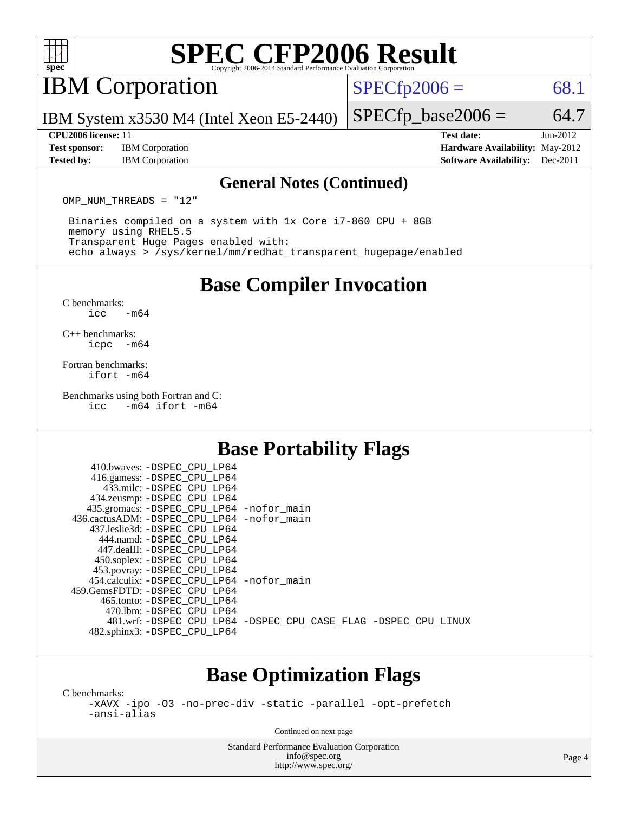

### IBM Corporation

 $SPECTp2006 = 68.1$ 

IBM System x3530 M4 (Intel Xeon E5-2440)

#### **[CPU2006 license:](http://www.spec.org/auto/cpu2006/Docs/result-fields.html#CPU2006license)** 11 **[Test date:](http://www.spec.org/auto/cpu2006/Docs/result-fields.html#Testdate)** Jun-2012

**[Test sponsor:](http://www.spec.org/auto/cpu2006/Docs/result-fields.html#Testsponsor)** IBM Corporation **[Hardware Availability:](http://www.spec.org/auto/cpu2006/Docs/result-fields.html#HardwareAvailability)** May-2012

 $SPECTp\_base2006 = 64.7$ 

**[Tested by:](http://www.spec.org/auto/cpu2006/Docs/result-fields.html#Testedby)** IBM Corporation **[Software Availability:](http://www.spec.org/auto/cpu2006/Docs/result-fields.html#SoftwareAvailability)** Dec-2011

#### **[General Notes \(Continued\)](http://www.spec.org/auto/cpu2006/Docs/result-fields.html#GeneralNotes)**

OMP NUM THREADS = "12"

 Binaries compiled on a system with 1x Core i7-860 CPU + 8GB memory using RHEL5.5 Transparent Huge Pages enabled with: echo always > /sys/kernel/mm/redhat\_transparent\_hugepage/enabled

**[Base Compiler Invocation](http://www.spec.org/auto/cpu2006/Docs/result-fields.html#BaseCompilerInvocation)**

[C benchmarks](http://www.spec.org/auto/cpu2006/Docs/result-fields.html#Cbenchmarks):  $\text{icc}$   $-\text{m64}$ 

[C++ benchmarks:](http://www.spec.org/auto/cpu2006/Docs/result-fields.html#CXXbenchmarks) [icpc -m64](http://www.spec.org/cpu2006/results/res2012q3/cpu2006-20120710-23542.flags.html#user_CXXbase_intel_icpc_64bit_bedb90c1146cab66620883ef4f41a67e)

[Fortran benchmarks](http://www.spec.org/auto/cpu2006/Docs/result-fields.html#Fortranbenchmarks): [ifort -m64](http://www.spec.org/cpu2006/results/res2012q3/cpu2006-20120710-23542.flags.html#user_FCbase_intel_ifort_64bit_ee9d0fb25645d0210d97eb0527dcc06e)

[Benchmarks using both Fortran and C](http://www.spec.org/auto/cpu2006/Docs/result-fields.html#BenchmarksusingbothFortranandC):<br>icc -m64 ifort -m64  $-m64$  ifort  $-m64$ 

### **[Base Portability Flags](http://www.spec.org/auto/cpu2006/Docs/result-fields.html#BasePortabilityFlags)**

| 410.bwaves: -DSPEC CPU LP64<br>416.gamess: -DSPEC_CPU_LP64 |                                                                |
|------------------------------------------------------------|----------------------------------------------------------------|
| 433.milc: -DSPEC CPU LP64                                  |                                                                |
| 434.zeusmp: - DSPEC_CPU_LP64                               |                                                                |
| 435.gromacs: -DSPEC_CPU_LP64 -nofor_main                   |                                                                |
| 436.cactusADM: - DSPEC CPU LP64 - nofor main               |                                                                |
| 437.leslie3d: -DSPEC CPU LP64                              |                                                                |
| 444.namd: - DSPEC CPU LP64                                 |                                                                |
| 447.dealII: -DSPEC CPU LP64                                |                                                                |
| 450.soplex: -DSPEC_CPU_LP64                                |                                                                |
| 453.povray: -DSPEC_CPU_LP64                                |                                                                |
| 454.calculix: - DSPEC CPU LP64 - nofor main                |                                                                |
| 459. GemsFDTD: - DSPEC CPU LP64                            |                                                                |
| 465.tonto: - DSPEC CPU LP64                                |                                                                |
| 470.1bm: - DSPEC CPU LP64                                  |                                                                |
|                                                            | 481.wrf: -DSPEC_CPU_LP64 -DSPEC_CPU_CASE_FLAG -DSPEC_CPU_LINUX |
| 482.sphinx3: -DSPEC_CPU_LP64                               |                                                                |
|                                                            |                                                                |

#### **[Base Optimization Flags](http://www.spec.org/auto/cpu2006/Docs/result-fields.html#BaseOptimizationFlags)**

[C benchmarks](http://www.spec.org/auto/cpu2006/Docs/result-fields.html#Cbenchmarks):

[-xAVX](http://www.spec.org/cpu2006/results/res2012q3/cpu2006-20120710-23542.flags.html#user_CCbase_f-xAVX) [-ipo](http://www.spec.org/cpu2006/results/res2012q3/cpu2006-20120710-23542.flags.html#user_CCbase_f-ipo) [-O3](http://www.spec.org/cpu2006/results/res2012q3/cpu2006-20120710-23542.flags.html#user_CCbase_f-O3) [-no-prec-div](http://www.spec.org/cpu2006/results/res2012q3/cpu2006-20120710-23542.flags.html#user_CCbase_f-no-prec-div) [-static](http://www.spec.org/cpu2006/results/res2012q3/cpu2006-20120710-23542.flags.html#user_CCbase_f-static) [-parallel](http://www.spec.org/cpu2006/results/res2012q3/cpu2006-20120710-23542.flags.html#user_CCbase_f-parallel) [-opt-prefetch](http://www.spec.org/cpu2006/results/res2012q3/cpu2006-20120710-23542.flags.html#user_CCbase_f-opt-prefetch) [-ansi-alias](http://www.spec.org/cpu2006/results/res2012q3/cpu2006-20120710-23542.flags.html#user_CCbase_f-ansi-alias)

Continued on next page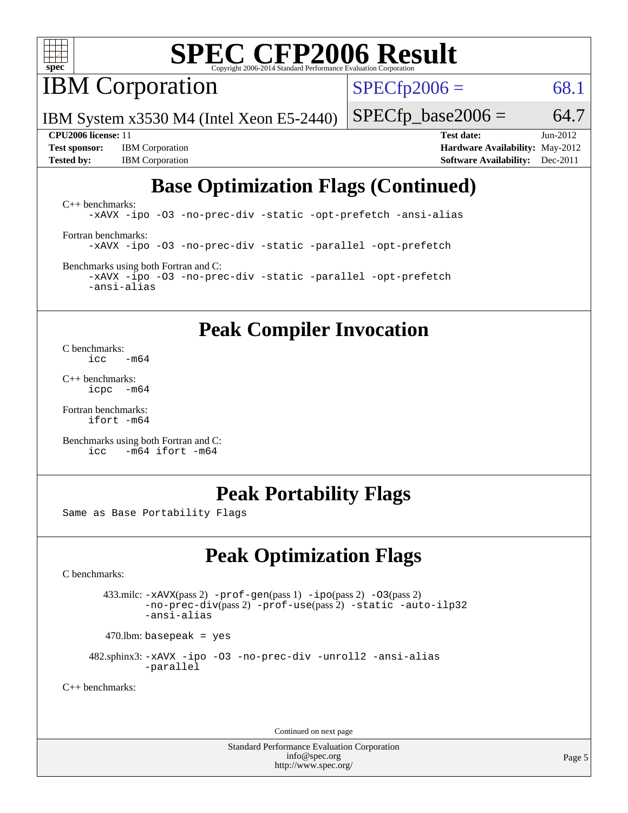

**IBM** Corporation

 $SPECfp2006 = 68.1$  $SPECfp2006 = 68.1$ 

IBM System x3530 M4 (Intel Xeon E5-2440)

 $SPECTp\_base2006 = 64.7$ 

**[Test sponsor:](http://www.spec.org/auto/cpu2006/Docs/result-fields.html#Testsponsor)** IBM Corporation **[Hardware Availability:](http://www.spec.org/auto/cpu2006/Docs/result-fields.html#HardwareAvailability)** May-2012

**[CPU2006 license:](http://www.spec.org/auto/cpu2006/Docs/result-fields.html#CPU2006license)** 11 **[Test date:](http://www.spec.org/auto/cpu2006/Docs/result-fields.html#Testdate)** Jun-2012 **[Tested by:](http://www.spec.org/auto/cpu2006/Docs/result-fields.html#Testedby)** IBM Corporation **[Software Availability:](http://www.spec.org/auto/cpu2006/Docs/result-fields.html#SoftwareAvailability)** Dec-2011

### **[Base Optimization Flags \(Continued\)](http://www.spec.org/auto/cpu2006/Docs/result-fields.html#BaseOptimizationFlags)**

[C++ benchmarks:](http://www.spec.org/auto/cpu2006/Docs/result-fields.html#CXXbenchmarks) [-xAVX](http://www.spec.org/cpu2006/results/res2012q3/cpu2006-20120710-23542.flags.html#user_CXXbase_f-xAVX) [-ipo](http://www.spec.org/cpu2006/results/res2012q3/cpu2006-20120710-23542.flags.html#user_CXXbase_f-ipo) [-O3](http://www.spec.org/cpu2006/results/res2012q3/cpu2006-20120710-23542.flags.html#user_CXXbase_f-O3) [-no-prec-div](http://www.spec.org/cpu2006/results/res2012q3/cpu2006-20120710-23542.flags.html#user_CXXbase_f-no-prec-div) [-static](http://www.spec.org/cpu2006/results/res2012q3/cpu2006-20120710-23542.flags.html#user_CXXbase_f-static) [-opt-prefetch](http://www.spec.org/cpu2006/results/res2012q3/cpu2006-20120710-23542.flags.html#user_CXXbase_f-opt-prefetch) [-ansi-alias](http://www.spec.org/cpu2006/results/res2012q3/cpu2006-20120710-23542.flags.html#user_CXXbase_f-ansi-alias) [Fortran benchmarks](http://www.spec.org/auto/cpu2006/Docs/result-fields.html#Fortranbenchmarks): [-xAVX](http://www.spec.org/cpu2006/results/res2012q3/cpu2006-20120710-23542.flags.html#user_FCbase_f-xAVX) [-ipo](http://www.spec.org/cpu2006/results/res2012q3/cpu2006-20120710-23542.flags.html#user_FCbase_f-ipo) [-O3](http://www.spec.org/cpu2006/results/res2012q3/cpu2006-20120710-23542.flags.html#user_FCbase_f-O3) [-no-prec-div](http://www.spec.org/cpu2006/results/res2012q3/cpu2006-20120710-23542.flags.html#user_FCbase_f-no-prec-div) [-static](http://www.spec.org/cpu2006/results/res2012q3/cpu2006-20120710-23542.flags.html#user_FCbase_f-static) [-parallel](http://www.spec.org/cpu2006/results/res2012q3/cpu2006-20120710-23542.flags.html#user_FCbase_f-parallel) [-opt-prefetch](http://www.spec.org/cpu2006/results/res2012q3/cpu2006-20120710-23542.flags.html#user_FCbase_f-opt-prefetch)

[Benchmarks using both Fortran and C](http://www.spec.org/auto/cpu2006/Docs/result-fields.html#BenchmarksusingbothFortranandC): [-xAVX](http://www.spec.org/cpu2006/results/res2012q3/cpu2006-20120710-23542.flags.html#user_CC_FCbase_f-xAVX) [-ipo](http://www.spec.org/cpu2006/results/res2012q3/cpu2006-20120710-23542.flags.html#user_CC_FCbase_f-ipo) [-O3](http://www.spec.org/cpu2006/results/res2012q3/cpu2006-20120710-23542.flags.html#user_CC_FCbase_f-O3) [-no-prec-div](http://www.spec.org/cpu2006/results/res2012q3/cpu2006-20120710-23542.flags.html#user_CC_FCbase_f-no-prec-div) [-static](http://www.spec.org/cpu2006/results/res2012q3/cpu2006-20120710-23542.flags.html#user_CC_FCbase_f-static) [-parallel](http://www.spec.org/cpu2006/results/res2012q3/cpu2006-20120710-23542.flags.html#user_CC_FCbase_f-parallel) [-opt-prefetch](http://www.spec.org/cpu2006/results/res2012q3/cpu2006-20120710-23542.flags.html#user_CC_FCbase_f-opt-prefetch) [-ansi-alias](http://www.spec.org/cpu2006/results/res2012q3/cpu2006-20120710-23542.flags.html#user_CC_FCbase_f-ansi-alias)

### **[Peak Compiler Invocation](http://www.spec.org/auto/cpu2006/Docs/result-fields.html#PeakCompilerInvocation)**

[C benchmarks](http://www.spec.org/auto/cpu2006/Docs/result-fields.html#Cbenchmarks):  $\frac{1}{2}$ cc  $-\text{m64}$ 

[C++ benchmarks:](http://www.spec.org/auto/cpu2006/Docs/result-fields.html#CXXbenchmarks) [icpc -m64](http://www.spec.org/cpu2006/results/res2012q3/cpu2006-20120710-23542.flags.html#user_CXXpeak_intel_icpc_64bit_bedb90c1146cab66620883ef4f41a67e)

[Fortran benchmarks](http://www.spec.org/auto/cpu2006/Docs/result-fields.html#Fortranbenchmarks): [ifort -m64](http://www.spec.org/cpu2006/results/res2012q3/cpu2006-20120710-23542.flags.html#user_FCpeak_intel_ifort_64bit_ee9d0fb25645d0210d97eb0527dcc06e)

[Benchmarks using both Fortran and C](http://www.spec.org/auto/cpu2006/Docs/result-fields.html#BenchmarksusingbothFortranandC): [icc -m64](http://www.spec.org/cpu2006/results/res2012q3/cpu2006-20120710-23542.flags.html#user_CC_FCpeak_intel_icc_64bit_0b7121f5ab7cfabee23d88897260401c) [ifort -m64](http://www.spec.org/cpu2006/results/res2012q3/cpu2006-20120710-23542.flags.html#user_CC_FCpeak_intel_ifort_64bit_ee9d0fb25645d0210d97eb0527dcc06e)

### **[Peak Portability Flags](http://www.spec.org/auto/cpu2006/Docs/result-fields.html#PeakPortabilityFlags)**

Same as Base Portability Flags

### **[Peak Optimization Flags](http://www.spec.org/auto/cpu2006/Docs/result-fields.html#PeakOptimizationFlags)**

[C benchmarks](http://www.spec.org/auto/cpu2006/Docs/result-fields.html#Cbenchmarks):

 433.milc: [-xAVX](http://www.spec.org/cpu2006/results/res2012q3/cpu2006-20120710-23542.flags.html#user_peakPASS2_CFLAGSPASS2_LDFLAGS433_milc_f-xAVX)(pass 2) [-prof-gen](http://www.spec.org/cpu2006/results/res2012q3/cpu2006-20120710-23542.flags.html#user_peakPASS1_CFLAGSPASS1_LDFLAGS433_milc_prof_gen_e43856698f6ca7b7e442dfd80e94a8fc)(pass 1) [-ipo](http://www.spec.org/cpu2006/results/res2012q3/cpu2006-20120710-23542.flags.html#user_peakPASS2_CFLAGSPASS2_LDFLAGS433_milc_f-ipo)(pass 2) [-O3](http://www.spec.org/cpu2006/results/res2012q3/cpu2006-20120710-23542.flags.html#user_peakPASS2_CFLAGSPASS2_LDFLAGS433_milc_f-O3)(pass 2) [-no-prec-div](http://www.spec.org/cpu2006/results/res2012q3/cpu2006-20120710-23542.flags.html#user_peakPASS2_CFLAGSPASS2_LDFLAGS433_milc_f-no-prec-div)(pass 2) [-prof-use](http://www.spec.org/cpu2006/results/res2012q3/cpu2006-20120710-23542.flags.html#user_peakPASS2_CFLAGSPASS2_LDFLAGS433_milc_prof_use_bccf7792157ff70d64e32fe3e1250b55)(pass 2) [-static](http://www.spec.org/cpu2006/results/res2012q3/cpu2006-20120710-23542.flags.html#user_peakOPTIMIZE433_milc_f-static) [-auto-ilp32](http://www.spec.org/cpu2006/results/res2012q3/cpu2006-20120710-23542.flags.html#user_peakCOPTIMIZE433_milc_f-auto-ilp32) [-ansi-alias](http://www.spec.org/cpu2006/results/res2012q3/cpu2006-20120710-23542.flags.html#user_peakCOPTIMIZE433_milc_f-ansi-alias)

 $470.$ lbm: basepeak = yes

 482.sphinx3: [-xAVX](http://www.spec.org/cpu2006/results/res2012q3/cpu2006-20120710-23542.flags.html#user_peakOPTIMIZE482_sphinx3_f-xAVX) [-ipo](http://www.spec.org/cpu2006/results/res2012q3/cpu2006-20120710-23542.flags.html#user_peakOPTIMIZE482_sphinx3_f-ipo) [-O3](http://www.spec.org/cpu2006/results/res2012q3/cpu2006-20120710-23542.flags.html#user_peakOPTIMIZE482_sphinx3_f-O3) [-no-prec-div](http://www.spec.org/cpu2006/results/res2012q3/cpu2006-20120710-23542.flags.html#user_peakOPTIMIZE482_sphinx3_f-no-prec-div) [-unroll2](http://www.spec.org/cpu2006/results/res2012q3/cpu2006-20120710-23542.flags.html#user_peakCOPTIMIZE482_sphinx3_f-unroll_784dae83bebfb236979b41d2422d7ec2) [-ansi-alias](http://www.spec.org/cpu2006/results/res2012q3/cpu2006-20120710-23542.flags.html#user_peakCOPTIMIZE482_sphinx3_f-ansi-alias) [-parallel](http://www.spec.org/cpu2006/results/res2012q3/cpu2006-20120710-23542.flags.html#user_peakCOPTIMIZE482_sphinx3_f-parallel)

[C++ benchmarks:](http://www.spec.org/auto/cpu2006/Docs/result-fields.html#CXXbenchmarks)

Continued on next page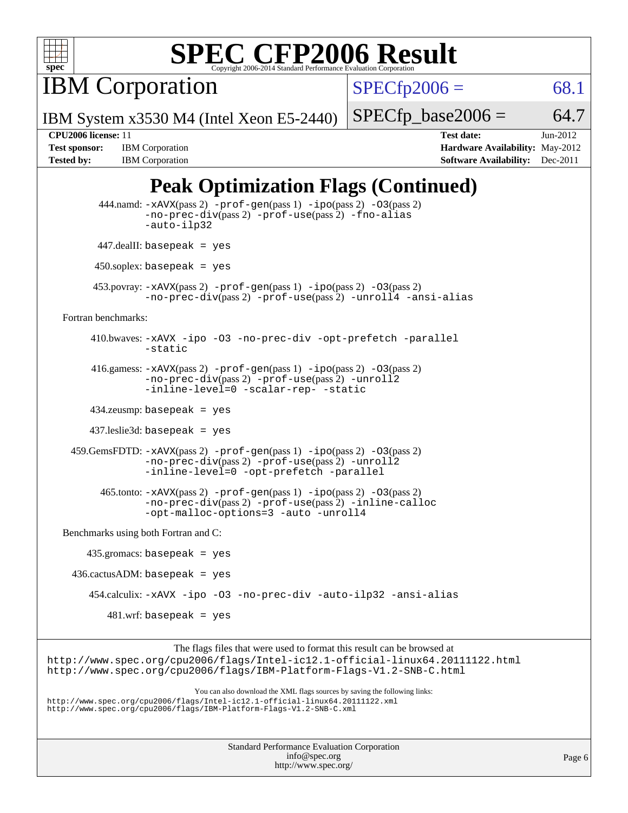

IBM Corporation

 $SPECfp2006 = 68.1$  $SPECfp2006 = 68.1$ 

IBM System x3530 M4 (Intel Xeon E5-2440)

 $SPECTp\_base2006 = 64.7$ 

**[Tested by:](http://www.spec.org/auto/cpu2006/Docs/result-fields.html#Testedby)** IBM Corporation **[Software Availability:](http://www.spec.org/auto/cpu2006/Docs/result-fields.html#SoftwareAvailability)** Dec-2011

**[CPU2006 license:](http://www.spec.org/auto/cpu2006/Docs/result-fields.html#CPU2006license)** 11 **[Test date:](http://www.spec.org/auto/cpu2006/Docs/result-fields.html#Testdate)** Jun-2012 **[Test sponsor:](http://www.spec.org/auto/cpu2006/Docs/result-fields.html#Testsponsor)** IBM Corporation **[Hardware Availability:](http://www.spec.org/auto/cpu2006/Docs/result-fields.html#HardwareAvailability)** May-2012

### **[Peak Optimization Flags \(Continued\)](http://www.spec.org/auto/cpu2006/Docs/result-fields.html#PeakOptimizationFlags)**

```
 444.namd: -xAVX(pass 2) -prof-gen(pass 1) -ipo(pass 2) -O3(pass 2)
                   -no-prec-div(pass 2) -prof-use(pass 2) -fno-alias
                   -auto-ilp32
          447.dealII: basepeak = yes
          450.soplex: basepeak = yes
          453.povray: -xAVX(pass 2) -prof-gen(pass 1) -ipo(pass 2) -O3(pass 2)
                   -no-prec-div(pass 2) -prof-use(pass 2) -unroll4 -ansi-alias
   Fortran benchmarks: 
         410.bwaves: -xAVX -ipo -O3 -no-prec-div -opt-prefetch -parallel
                   -static
         416.gamess: -xAVX(pass 2) -prof-gen(pass 1) -ipo(pass 2) -O3(pass 2)
                   -no-prec-div(pass 2) -prof-use(pass 2) -unroll2
                   -inline-level=0-scalar-rep--static
         434.zeusmp: basepeak = yes
         437.leslie3d: basepeak = yes
     459.GemsFDTD: -xAVX(pass 2) -prof-gen(pass 1) -ipo(pass 2) -O3(pass 2)
                   -no-prec-div(pass 2) -prof-use(pass 2) -unroll2
                   -inline-level=0 -opt-prefetch -parallel
           465.tonto: -xAVX(pass 2) -prof-gen(pass 1) -ipo(pass 2) -O3(pass 2)
                   -no-prec-div(pass 2) -prof-use(pass 2) -inline-calloc
                   -opt-malloc-options=3-auto-unroll4
   Benchmarks using both Fortran and C: 
        435.gromacs: basepeak = yes
    436.cactusADM: basepeak = yes
         454.calculix: -xAVX -ipo -O3 -no-prec-div -auto-ilp32 -ansi-alias
            481.wrf: basepeak = yes
                         The flags files that were used to format this result can be browsed at
http://www.spec.org/cpu2006/flags/Intel-ic12.1-official-linux64.20111122.html
http://www.spec.org/cpu2006/flags/IBM-Platform-Flags-V1.2-SNB-C.html
                            You can also download the XML flags sources by saving the following links:
http://www.spec.org/cpu2006/flags/Intel-ic12.1-official-linux64.20111122.xml
http://www.spec.org/cpu2006/flags/IBM-Platform-Flags-V1.2-SNB-C.xml
```